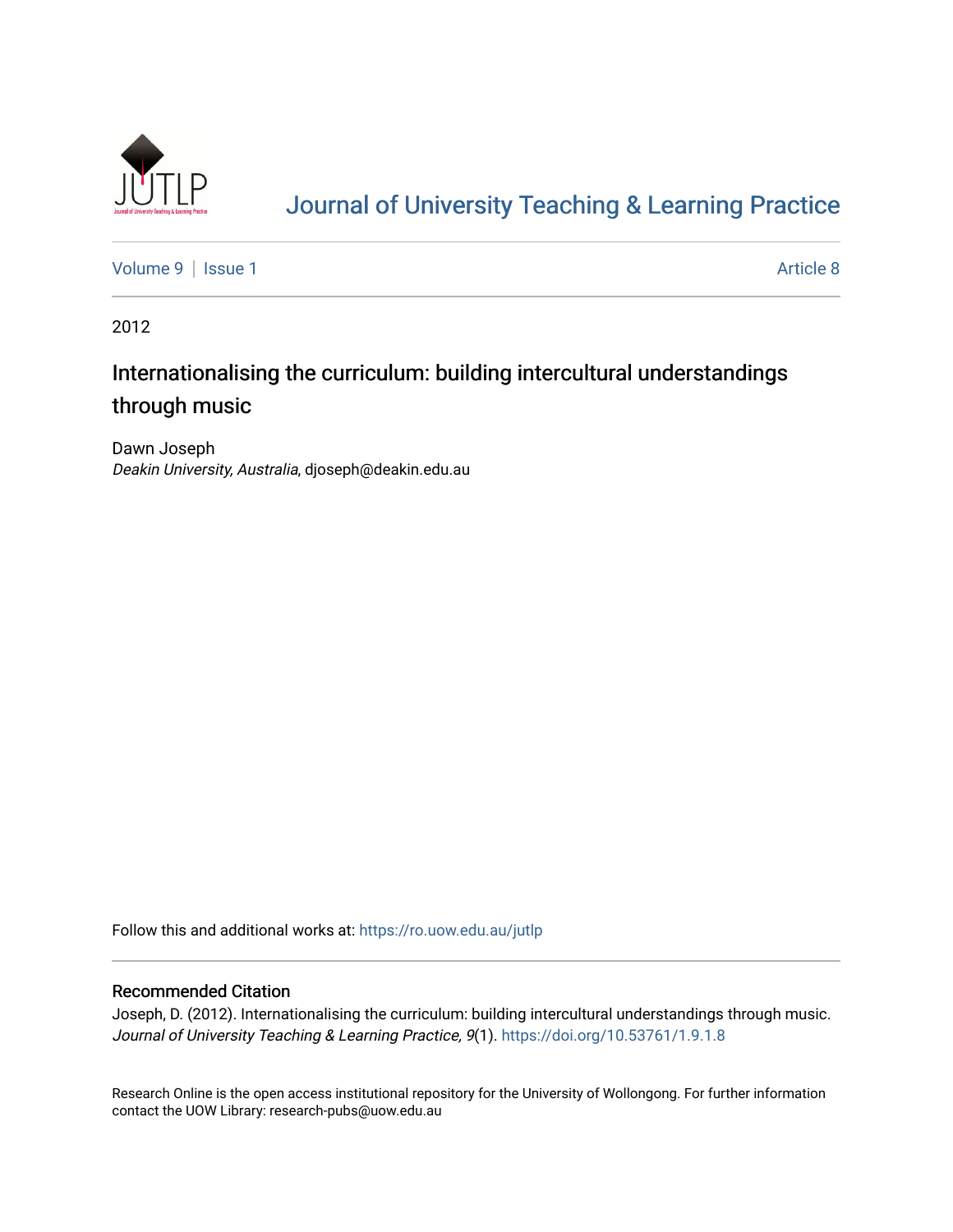

# [Journal of University Teaching & Learning Practice](https://ro.uow.edu.au/jutlp)

[Volume 9](https://ro.uow.edu.au/jutlp/vol9) | [Issue 1](https://ro.uow.edu.au/jutlp/vol9/iss1) Article 8

2012

## Internationalising the curriculum: building intercultural understandings through music

Dawn Joseph Deakin University, Australia, djoseph@deakin.edu.au

Follow this and additional works at: [https://ro.uow.edu.au/jutlp](https://ro.uow.edu.au/jutlp?utm_source=ro.uow.edu.au%2Fjutlp%2Fvol9%2Fiss1%2F8&utm_medium=PDF&utm_campaign=PDFCoverPages) 

#### Recommended Citation

Joseph, D. (2012). Internationalising the curriculum: building intercultural understandings through music. Journal of University Teaching & Learning Practice, 9(1).<https://doi.org/10.53761/1.9.1.8>

Research Online is the open access institutional repository for the University of Wollongong. For further information contact the UOW Library: research-pubs@uow.edu.au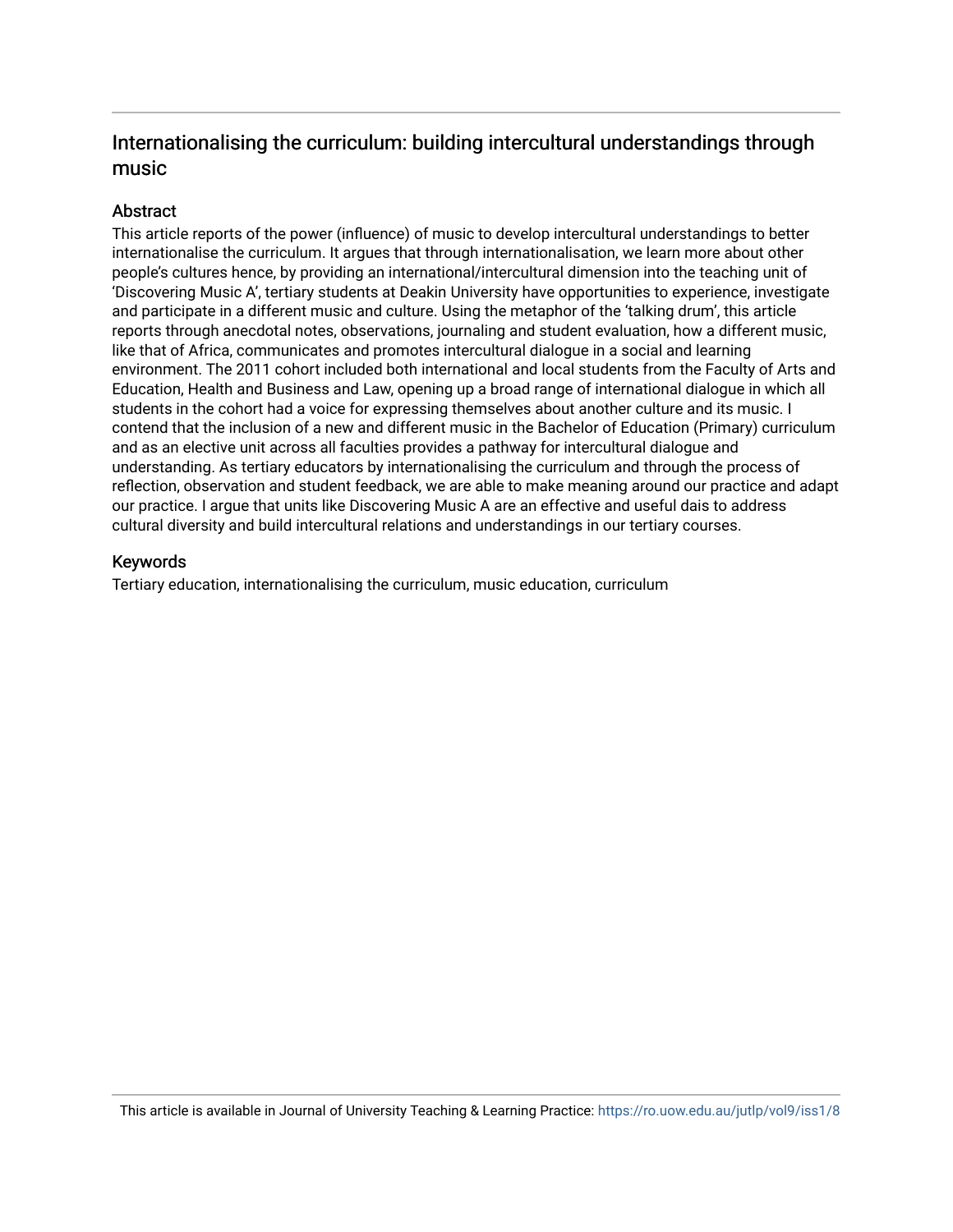### Internationalising the curriculum: building intercultural understandings through music

#### **Abstract**

This article reports of the power (influence) of music to develop intercultural understandings to better internationalise the curriculum. It argues that through internationalisation, we learn more about other people's cultures hence, by providing an international/intercultural dimension into the teaching unit of 'Discovering Music A', tertiary students at Deakin University have opportunities to experience, investigate and participate in a different music and culture. Using the metaphor of the 'talking drum', this article reports through anecdotal notes, observations, journaling and student evaluation, how a different music, like that of Africa, communicates and promotes intercultural dialogue in a social and learning environment. The 2011 cohort included both international and local students from the Faculty of Arts and Education, Health and Business and Law, opening up a broad range of international dialogue in which all students in the cohort had a voice for expressing themselves about another culture and its music. I contend that the inclusion of a new and different music in the Bachelor of Education (Primary) curriculum and as an elective unit across all faculties provides a pathway for intercultural dialogue and understanding. As tertiary educators by internationalising the curriculum and through the process of reflection, observation and student feedback, we are able to make meaning around our practice and adapt our practice. I argue that units like Discovering Music A are an effective and useful dais to address cultural diversity and build intercultural relations and understandings in our tertiary courses.

#### Keywords

Tertiary education, internationalising the curriculum, music education, curriculum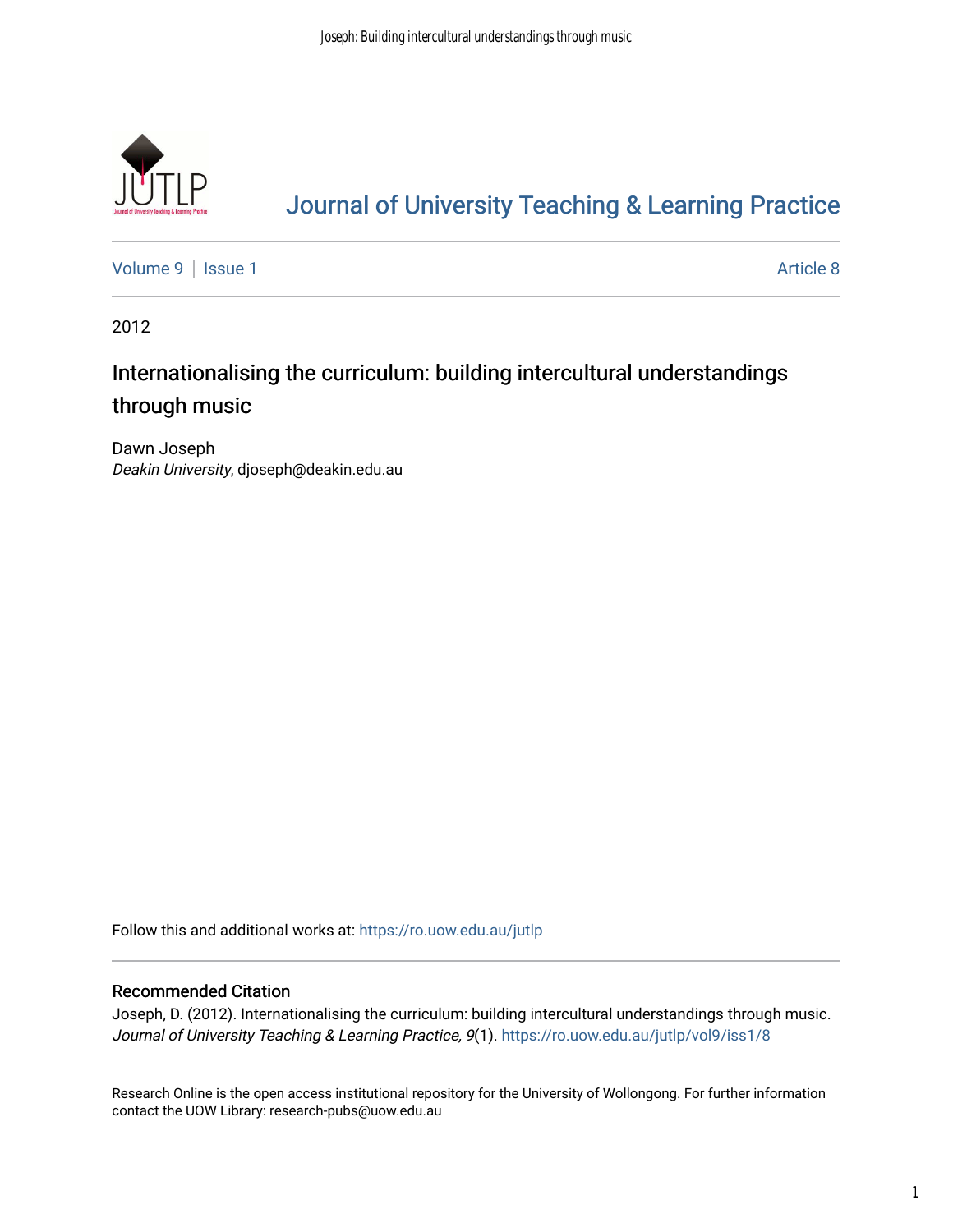

# [Journal of University Teaching & Learning Practice](https://ro.uow.edu.au/jutlp)

[Volume 9](https://ro.uow.edu.au/jutlp/vol9) | [Issue 1](https://ro.uow.edu.au/jutlp/vol9/iss1) Article 8

2012

## Internationalising the curriculum: building intercultural understandings through music

Dawn Joseph Deakin University, djoseph@deakin.edu.au

Follow this and additional works at: [https://ro.uow.edu.au/jutlp](https://ro.uow.edu.au/jutlp?utm_source=ro.uow.edu.au%2Fjutlp%2Fvol9%2Fiss1%2F8&utm_medium=PDF&utm_campaign=PDFCoverPages) 

#### Recommended Citation

Joseph, D. (2012). Internationalising the curriculum: building intercultural understandings through music. Journal of University Teaching & Learning Practice, 9(1). [https://ro.uow.edu.au/jutlp/vol9/iss1/8](https://ro.uow.edu.au/jutlp/vol9/iss1/8?utm_source=ro.uow.edu.au%2Fjutlp%2Fvol9%2Fiss1%2F8&utm_medium=PDF&utm_campaign=PDFCoverPages)

Research Online is the open access institutional repository for the University of Wollongong. For further information contact the UOW Library: research-pubs@uow.edu.au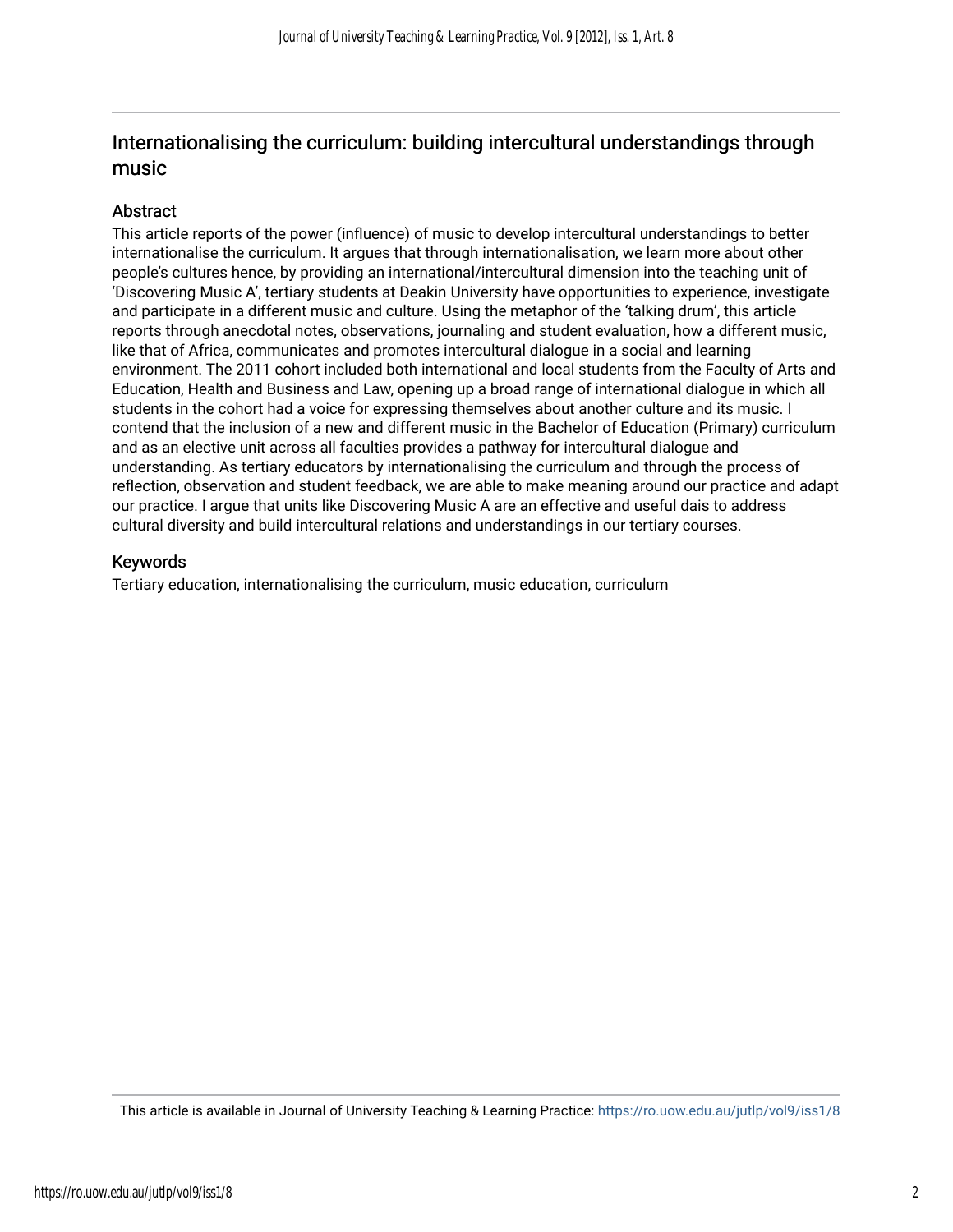### Internationalising the curriculum: building intercultural understandings through music

#### Abstract

This article reports of the power (influence) of music to develop intercultural understandings to better internationalise the curriculum. It argues that through internationalisation, we learn more about other people's cultures hence, by providing an international/intercultural dimension into the teaching unit of 'Discovering Music A', tertiary students at Deakin University have opportunities to experience, investigate and participate in a different music and culture. Using the metaphor of the 'talking drum', this article reports through anecdotal notes, observations, journaling and student evaluation, how a different music, like that of Africa, communicates and promotes intercultural dialogue in a social and learning environment. The 2011 cohort included both international and local students from the Faculty of Arts and Education, Health and Business and Law, opening up a broad range of international dialogue in which all students in the cohort had a voice for expressing themselves about another culture and its music. I contend that the inclusion of a new and different music in the Bachelor of Education (Primary) curriculum and as an elective unit across all faculties provides a pathway for intercultural dialogue and understanding. As tertiary educators by internationalising the curriculum and through the process of reflection, observation and student feedback, we are able to make meaning around our practice and adapt our practice. I argue that units like Discovering Music A are an effective and useful dais to address cultural diversity and build intercultural relations and understandings in our tertiary courses.

#### Keywords

Tertiary education, internationalising the curriculum, music education, curriculum

This article is available in Journal of University Teaching & Learning Practice:<https://ro.uow.edu.au/jutlp/vol9/iss1/8>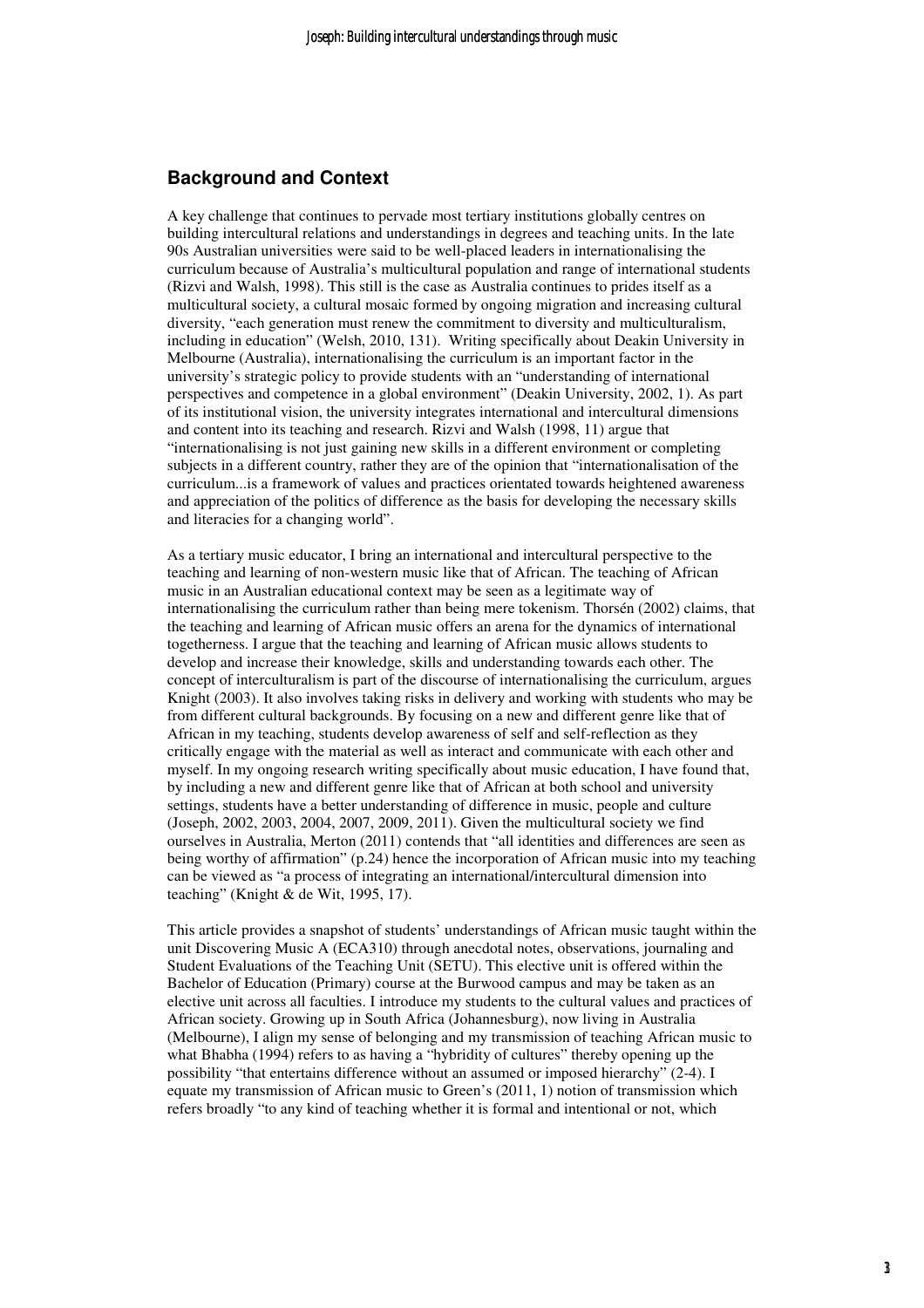#### **Background and Context**

A key challenge that continues to pervade most tertiary institutions globally centres on building intercultural relations and understandings in degrees and teaching units. In the late 90s Australian universities were said to be well-placed leaders in internationalising the curriculum because of Australia's multicultural population and range of international students (Rizvi and Walsh, 1998). This still is the case as Australia continues to prides itself as a multicultural society, a cultural mosaic formed by ongoing migration and increasing cultural diversity, "each generation must renew the commitment to diversity and multiculturalism, including in education" (Welsh, 2010, 131). Writing specifically about Deakin University in Melbourne (Australia), internationalising the curriculum is an important factor in the university's strategic policy to provide students with an "understanding of international perspectives and competence in a global environment" (Deakin University, 2002, 1). As part of its institutional vision, the university integrates international and intercultural dimensions and content into its teaching and research. Rizvi and Walsh (1998, 11) argue that "internationalising is not just gaining new skills in a different environment or completing subjects in a different country, rather they are of the opinion that "internationalisation of the curriculum...is a framework of values and practices orientated towards heightened awareness and appreciation of the politics of difference as the basis for developing the necessary skills and literacies for a changing world".

As a tertiary music educator, I bring an international and intercultural perspective to the teaching and learning of non-western music like that of African. The teaching of African music in an Australian educational context may be seen as a legitimate way of internationalising the curriculum rather than being mere tokenism. Thorsén (2002) claims, that the teaching and learning of African music offers an arena for the dynamics of international togetherness. I argue that the teaching and learning of African music allows students to develop and increase their knowledge, skills and understanding towards each other. The concept of interculturalism is part of the discourse of internationalising the curriculum, argues Knight (2003). It also involves taking risks in delivery and working with students who may be from different cultural backgrounds. By focusing on a new and different genre like that of African in my teaching, students develop awareness of self and self-reflection as they critically engage with the material as well as interact and communicate with each other and myself. In my ongoing research writing specifically about music education, I have found that, by including a new and different genre like that of African at both school and university settings, students have a better understanding of difference in music, people and culture (Joseph, 2002, 2003, 2004, 2007, 2009, 2011). Given the multicultural society we find ourselves in Australia, Merton (2011) contends that "all identities and differences are seen as being worthy of affirmation" (p.24) hence the incorporation of African music into my teaching can be viewed as "a process of integrating an international/intercultural dimension into teaching" (Knight & de Wit, 1995, 17).

This article provides a snapshot of students' understandings of African music taught within the unit Discovering Music A (ECA310) through anecdotal notes, observations, journaling and Student Evaluations of the Teaching Unit (SETU). This elective unit is offered within the Bachelor of Education (Primary) course at the Burwood campus and may be taken as an elective unit across all faculties. I introduce my students to the cultural values and practices of African society. Growing up in South Africa (Johannesburg), now living in Australia (Melbourne), I align my sense of belonging and my transmission of teaching African music to what Bhabha (1994) refers to as having a "hybridity of cultures" thereby opening up the possibility "that entertains difference without an assumed or imposed hierarchy" (2-4). I equate my transmission of African music to Green's (2011, 1) notion of transmission which refers broadly "to any kind of teaching whether it is formal and intentional or not, which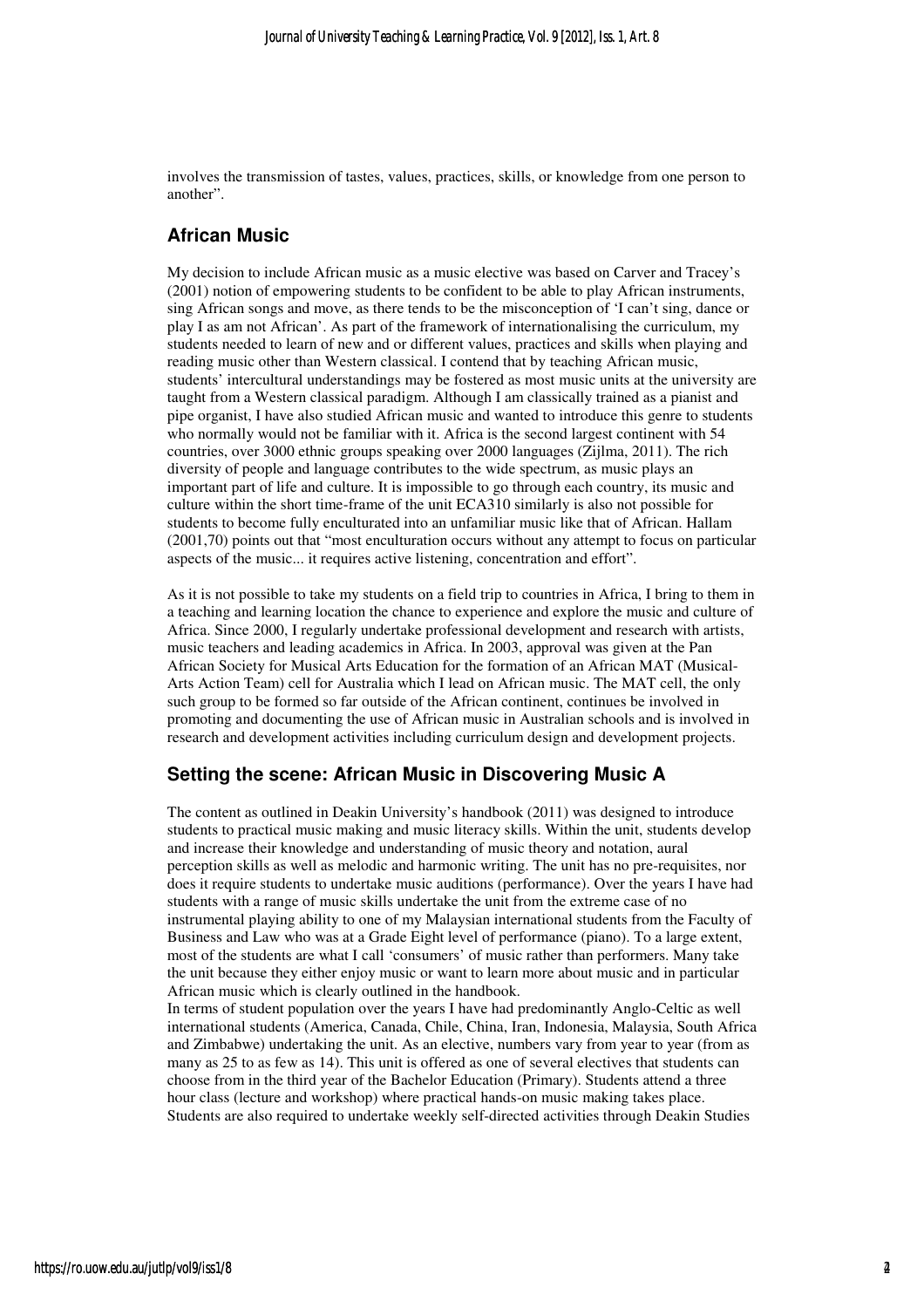involves the transmission of tastes, values, practices, skills, or knowledge from one person to another".

#### **African Music**

My decision to include African music as a music elective was based on Carver and Tracey's (2001) notion of empowering students to be confident to be able to play African instruments, sing African songs and move, as there tends to be the misconception of 'I can't sing, dance or play I as am not African'. As part of the framework of internationalising the curriculum, my students needed to learn of new and or different values, practices and skills when playing and reading music other than Western classical. I contend that by teaching African music, students' intercultural understandings may be fostered as most music units at the university are taught from a Western classical paradigm. Although I am classically trained as a pianist and pipe organist, I have also studied African music and wanted to introduce this genre to students who normally would not be familiar with it. Africa is the second largest continent with 54 countries, over 3000 ethnic groups speaking over 2000 languages (Zijlma, 2011). The rich diversity of people and language contributes to the wide spectrum, as music plays an important part of life and culture. It is impossible to go through each country, its music and culture within the short time-frame of the unit ECA310 similarly is also not possible for students to become fully enculturated into an unfamiliar music like that of African. Hallam (2001,70) points out that "most enculturation occurs without any attempt to focus on particular aspects of the music... it requires active listening, concentration and effort".

As it is not possible to take my students on a field trip to countries in Africa, I bring to them in a teaching and learning location the chance to experience and explore the music and culture of Africa. Since 2000, I regularly undertake professional development and research with artists, music teachers and leading academics in Africa. In 2003, approval was given at the Pan African Society for Musical Arts Education for the formation of an African MAT (Musical-Arts Action Team) cell for Australia which I lead on African music. The MAT cell, the only such group to be formed so far outside of the African continent, continues be involved in promoting and documenting the use of African music in Australian schools and is involved in research and development activities including curriculum design and development projects.

#### **Setting the scene: African Music in Discovering Music A**

The content as outlined in Deakin University's handbook (2011) was designed to introduce students to practical music making and music literacy skills. Within the unit, students develop and increase their knowledge and understanding of music theory and notation, aural perception skills as well as melodic and harmonic writing. The unit has no pre-requisites, nor does it require students to undertake music auditions (performance). Over the years I have had students with a range of music skills undertake the unit from the extreme case of no instrumental playing ability to one of my Malaysian international students from the Faculty of Business and Law who was at a Grade Eight level of performance (piano). To a large extent, most of the students are what I call 'consumers' of music rather than performers. Many take the unit because they either enjoy music or want to learn more about music and in particular African music which is clearly outlined in the handbook.

In terms of student population over the years I have had predominantly Anglo-Celtic as well international students (America, Canada, Chile, China, Iran, Indonesia, Malaysia, South Africa and Zimbabwe) undertaking the unit. As an elective, numbers vary from year to year (from as many as 25 to as few as 14). This unit is offered as one of several electives that students can choose from in the third year of the Bachelor Education (Primary). Students attend a three hour class (lecture and workshop) where practical hands-on music making takes place. Students are also required to undertake weekly self-directed activities through Deakin Studies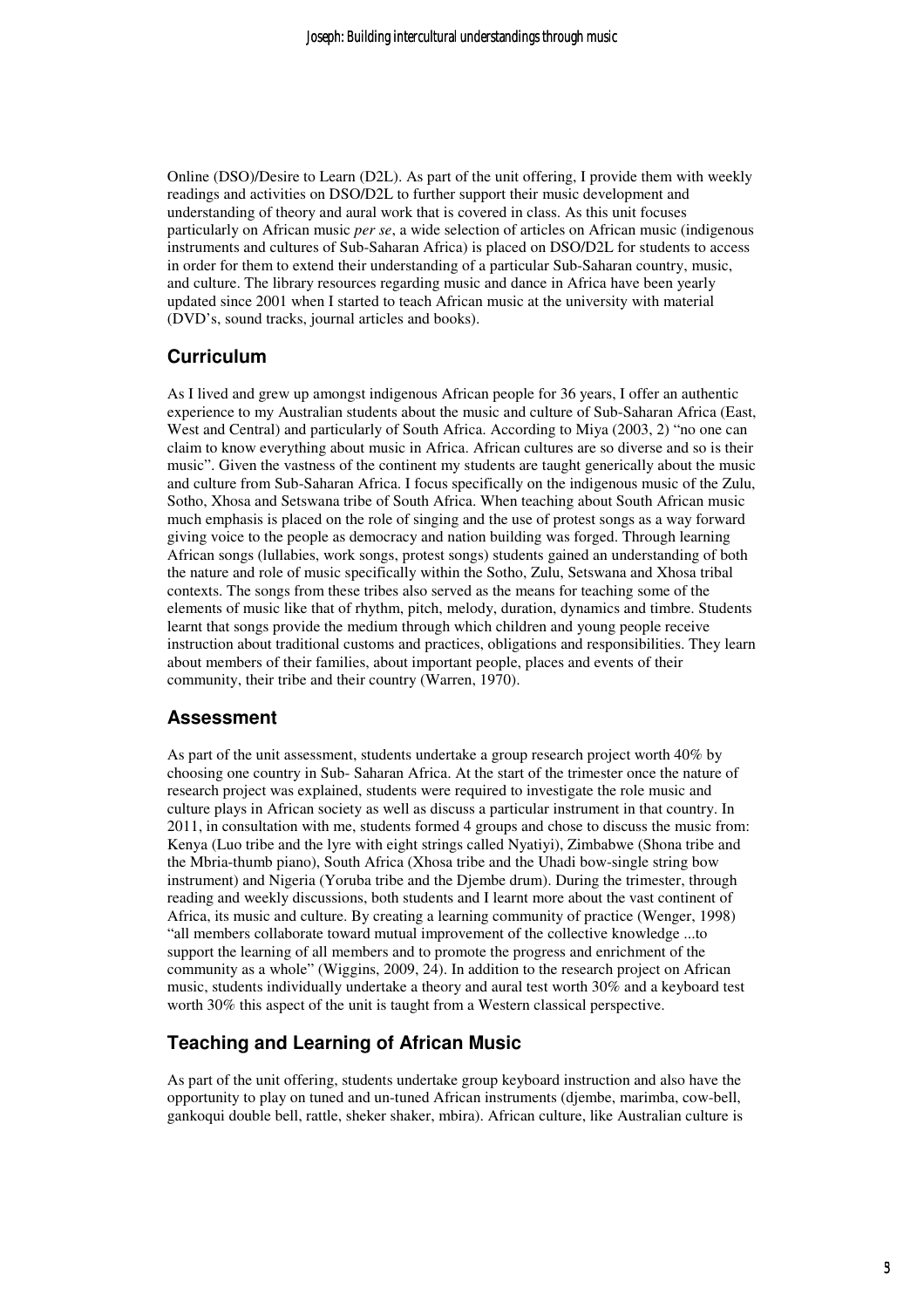Online (DSO)/Desire to Learn (D2L). As part of the unit offering, I provide them with weekly readings and activities on DSO/D2L to further support their music development and understanding of theory and aural work that is covered in class. As this unit focuses particularly on African music *per se*, a wide selection of articles on African music (indigenous instruments and cultures of Sub-Saharan Africa) is placed on DSO/D2L for students to access in order for them to extend their understanding of a particular Sub-Saharan country, music, and culture. The library resources regarding music and dance in Africa have been yearly updated since 2001 when I started to teach African music at the university with material (DVD's, sound tracks, journal articles and books).

#### **Curriculum**

As I lived and grew up amongst indigenous African people for 36 years, I offer an authentic experience to my Australian students about the music and culture of Sub-Saharan Africa (East, West and Central) and particularly of South Africa. According to Miya (2003, 2) "no one can claim to know everything about music in Africa. African cultures are so diverse and so is their music". Given the vastness of the continent my students are taught generically about the music and culture from Sub-Saharan Africa. I focus specifically on the indigenous music of the Zulu, Sotho, Xhosa and Setswana tribe of South Africa. When teaching about South African music much emphasis is placed on the role of singing and the use of protest songs as a way forward giving voice to the people as democracy and nation building was forged. Through learning African songs (lullabies, work songs, protest songs) students gained an understanding of both the nature and role of music specifically within the Sotho, Zulu, Setswana and Xhosa tribal contexts. The songs from these tribes also served as the means for teaching some of the elements of music like that of rhythm, pitch, melody, duration, dynamics and timbre. Students learnt that songs provide the medium through which children and young people receive instruction about traditional customs and practices, obligations and responsibilities. They learn about members of their families, about important people, places and events of their community, their tribe and their country (Warren, 1970).

#### **Assessment**

As part of the unit assessment, students undertake a group research project worth 40% by choosing one country in Sub- Saharan Africa. At the start of the trimester once the nature of research project was explained, students were required to investigate the role music and culture plays in African society as well as discuss a particular instrument in that country. In 2011, in consultation with me, students formed 4 groups and chose to discuss the music from: Kenya (Luo tribe and the lyre with eight strings called Nyatiyi), Zimbabwe (Shona tribe and the Mbria-thumb piano), South Africa (Xhosa tribe and the Uhadi bow-single string bow instrument) and Nigeria (Yoruba tribe and the Djembe drum). During the trimester, through reading and weekly discussions, both students and I learnt more about the vast continent of Africa, its music and culture. By creating a learning community of practice (Wenger, 1998) "all members collaborate toward mutual improvement of the collective knowledge ...to support the learning of all members and to promote the progress and enrichment of the community as a whole" (Wiggins, 2009, 24). In addition to the research project on African music, students individually undertake a theory and aural test worth 30% and a keyboard test worth 30% this aspect of the unit is taught from a Western classical perspective.

#### **Teaching and Learning of African Music**

As part of the unit offering, students undertake group keyboard instruction and also have the opportunity to play on tuned and un-tuned African instruments (djembe, marimba, cow-bell, gankoqui double bell, rattle, sheker shaker, mbira). African culture, like Australian culture is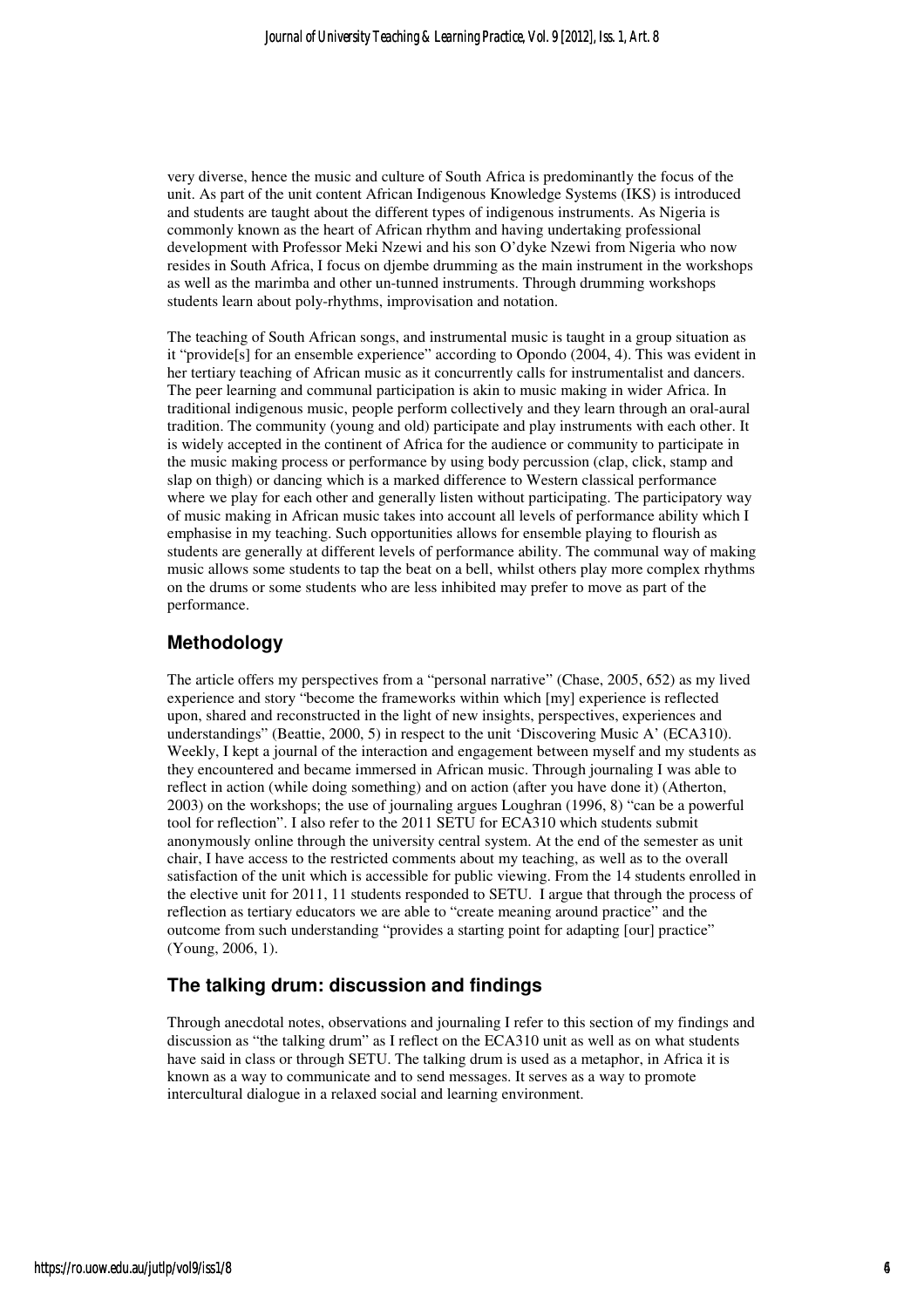very diverse, hence the music and culture of South Africa is predominantly the focus of the unit. As part of the unit content African Indigenous Knowledge Systems (IKS) is introduced and students are taught about the different types of indigenous instruments. As Nigeria is commonly known as the heart of African rhythm and having undertaking professional development with Professor Meki Nzewi and his son O'dyke Nzewi from Nigeria who now resides in South Africa, I focus on djembe drumming as the main instrument in the workshops as well as the marimba and other un-tunned instruments. Through drumming workshops students learn about poly-rhythms, improvisation and notation.

The teaching of South African songs, and instrumental music is taught in a group situation as it "provide[s] for an ensemble experience" according to Opondo (2004, 4). This was evident in her tertiary teaching of African music as it concurrently calls for instrumentalist and dancers. The peer learning and communal participation is akin to music making in wider Africa. In traditional indigenous music, people perform collectively and they learn through an oral-aural tradition. The community (young and old) participate and play instruments with each other. It is widely accepted in the continent of Africa for the audience or community to participate in the music making process or performance by using body percussion (clap, click, stamp and slap on thigh) or dancing which is a marked difference to Western classical performance where we play for each other and generally listen without participating. The participatory way of music making in African music takes into account all levels of performance ability which I emphasise in my teaching. Such opportunities allows for ensemble playing to flourish as students are generally at different levels of performance ability. The communal way of making music allows some students to tap the beat on a bell, whilst others play more complex rhythms on the drums or some students who are less inhibited may prefer to move as part of the performance.

#### **Methodology**

The article offers my perspectives from a "personal narrative" (Chase, 2005, 652) as my lived experience and story "become the frameworks within which [my] experience is reflected upon, shared and reconstructed in the light of new insights, perspectives, experiences and understandings" (Beattie, 2000, 5) in respect to the unit 'Discovering Music A' (ECA310). Weekly, I kept a journal of the interaction and engagement between myself and my students as they encountered and became immersed in African music. Through journaling I was able to reflect in action (while doing something) and on action (after you have done it) (Atherton, 2003) on the workshops; the use of journaling argues Loughran (1996, 8) "can be a powerful tool for reflection". I also refer to the 2011 SETU for ECA310 which students submit anonymously online through the university central system. At the end of the semester as unit chair, I have access to the restricted comments about my teaching, as well as to the overall satisfaction of the unit which is accessible for public viewing. From the 14 students enrolled in the elective unit for 2011, 11 students responded to SETU. I argue that through the process of reflection as tertiary educators we are able to "create meaning around practice" and the outcome from such understanding "provides a starting point for adapting [our] practice" (Young, 2006, 1).

### **The talking drum: discussion and findings**

Through anecdotal notes, observations and journaling I refer to this section of my findings and discussion as "the talking drum" as I reflect on the ECA310 unit as well as on what students have said in class or through SETU. The talking drum is used as a metaphor, in Africa it is known as a way to communicate and to send messages. It serves as a way to promote intercultural dialogue in a relaxed social and learning environment.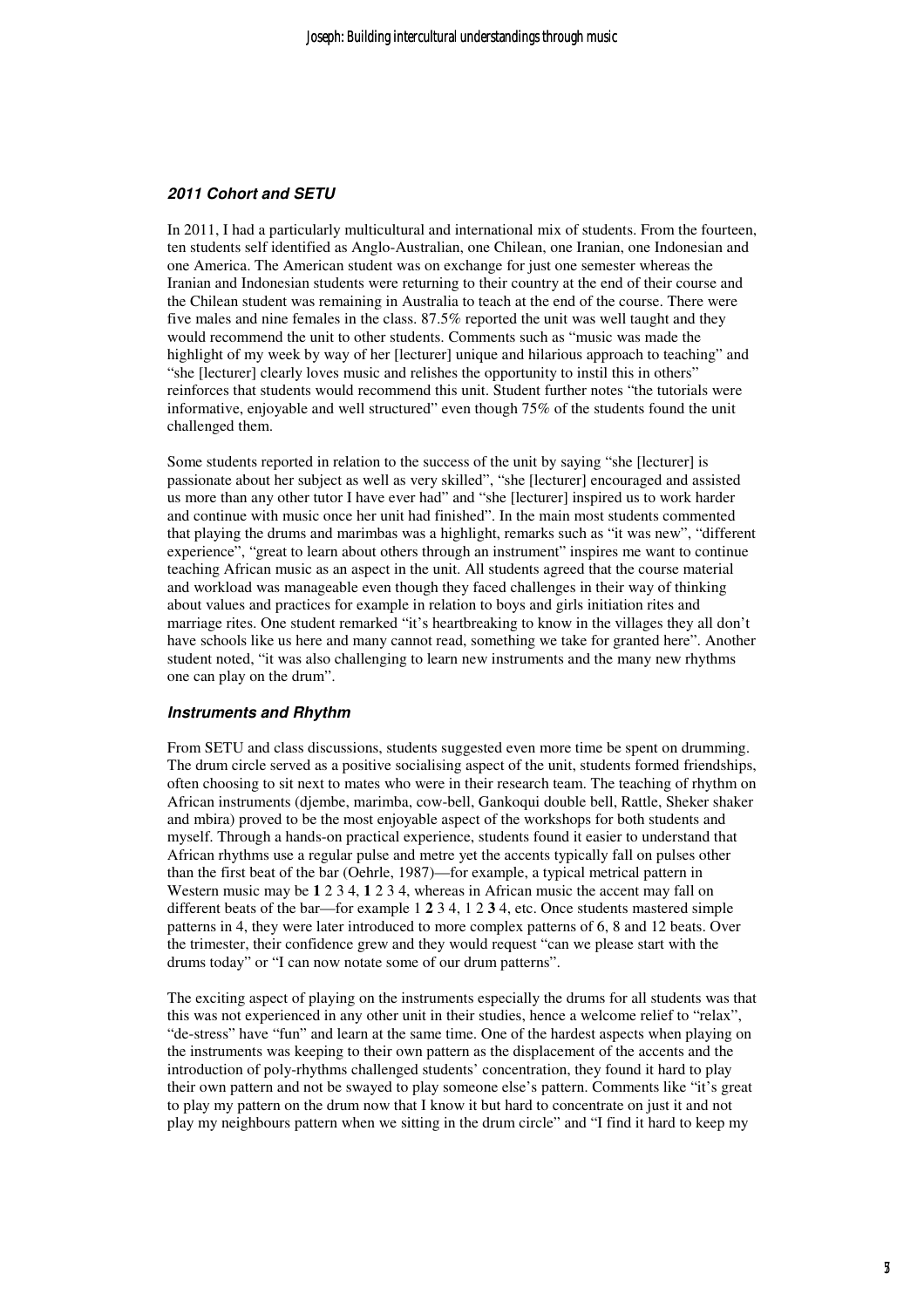#### **2011 Cohort and SETU**

In 2011, I had a particularly multicultural and international mix of students. From the fourteen, ten students self identified as Anglo-Australian, one Chilean, one Iranian, one Indonesian and one America. The American student was on exchange for just one semester whereas the Iranian and Indonesian students were returning to their country at the end of their course and the Chilean student was remaining in Australia to teach at the end of the course. There were five males and nine females in the class. 87.5% reported the unit was well taught and they would recommend the unit to other students. Comments such as "music was made the highlight of my week by way of her [lecturer] unique and hilarious approach to teaching" and "she [lecturer] clearly loves music and relishes the opportunity to instil this in others" reinforces that students would recommend this unit. Student further notes "the tutorials were informative, enjoyable and well structured" even though 75% of the students found the unit challenged them.

Some students reported in relation to the success of the unit by saying "she [lecturer] is passionate about her subject as well as very skilled", "she [lecturer] encouraged and assisted us more than any other tutor I have ever had" and "she [lecturer] inspired us to work harder and continue with music once her unit had finished". In the main most students commented that playing the drums and marimbas was a highlight, remarks such as "it was new", "different experience", "great to learn about others through an instrument" inspires me want to continue teaching African music as an aspect in the unit. All students agreed that the course material and workload was manageable even though they faced challenges in their way of thinking about values and practices for example in relation to boys and girls initiation rites and marriage rites. One student remarked "it's heartbreaking to know in the villages they all don't have schools like us here and many cannot read, something we take for granted here". Another student noted, "it was also challenging to learn new instruments and the many new rhythms one can play on the drum".

#### **Instruments and Rhythm**

From SETU and class discussions, students suggested even more time be spent on drumming. The drum circle served as a positive socialising aspect of the unit, students formed friendships, often choosing to sit next to mates who were in their research team. The teaching of rhythm on African instruments (djembe, marimba, cow-bell, Gankoqui double bell, Rattle, Sheker shaker and mbira) proved to be the most enjoyable aspect of the workshops for both students and myself. Through a hands-on practical experience, students found it easier to understand that African rhythms use a regular pulse and metre yet the accents typically fall on pulses other than the first beat of the bar (Oehrle, 1987)—for example, a typical metrical pattern in Western music may be **1** 2 3 4, **1** 2 3 4, whereas in African music the accent may fall on different beats of the bar—for example 1 **2** 3 4, 1 2 **3** 4, etc. Once students mastered simple patterns in 4, they were later introduced to more complex patterns of 6, 8 and 12 beats. Over the trimester, their confidence grew and they would request "can we please start with the drums today" or "I can now notate some of our drum patterns".

The exciting aspect of playing on the instruments especially the drums for all students was that this was not experienced in any other unit in their studies, hence a welcome relief to "relax", "de-stress" have "fun" and learn at the same time. One of the hardest aspects when playing on the instruments was keeping to their own pattern as the displacement of the accents and the introduction of poly-rhythms challenged students' concentration, they found it hard to play their own pattern and not be swayed to play someone else's pattern. Comments like "it's great to play my pattern on the drum now that I know it but hard to concentrate on just it and not play my neighbours pattern when we sitting in the drum circle" and "I find it hard to keep my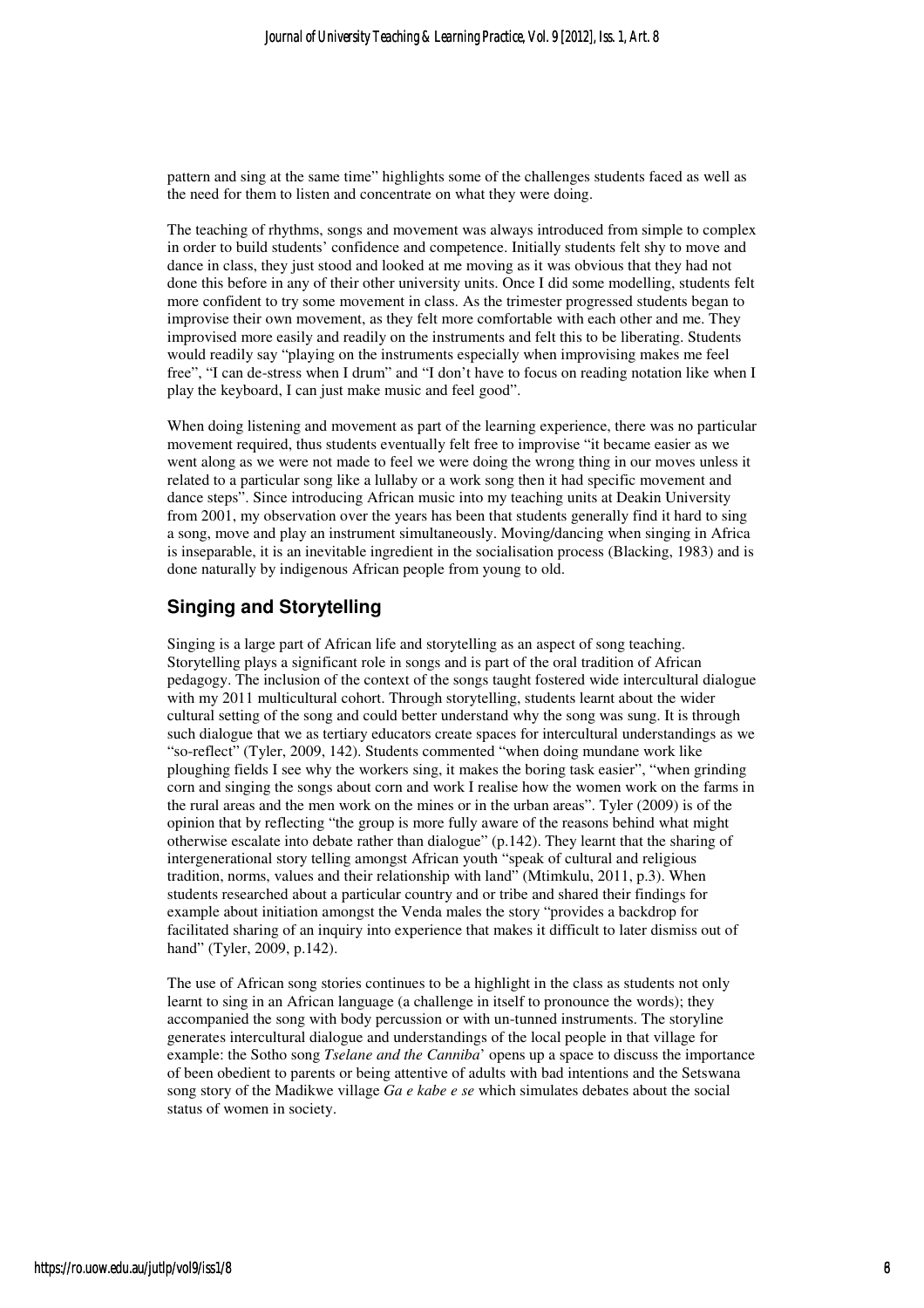pattern and sing at the same time" highlights some of the challenges students faced as well as the need for them to listen and concentrate on what they were doing.

The teaching of rhythms, songs and movement was always introduced from simple to complex in order to build students' confidence and competence. Initially students felt shy to move and dance in class, they just stood and looked at me moving as it was obvious that they had not done this before in any of their other university units. Once I did some modelling, students felt more confident to try some movement in class. As the trimester progressed students began to improvise their own movement, as they felt more comfortable with each other and me. They improvised more easily and readily on the instruments and felt this to be liberating. Students would readily say "playing on the instruments especially when improvising makes me feel free", "I can de-stress when I drum" and "I don't have to focus on reading notation like when I play the keyboard, I can just make music and feel good".

When doing listening and movement as part of the learning experience, there was no particular movement required, thus students eventually felt free to improvise "it became easier as we went along as we were not made to feel we were doing the wrong thing in our moves unless it related to a particular song like a lullaby or a work song then it had specific movement and dance steps". Since introducing African music into my teaching units at Deakin University from 2001, my observation over the years has been that students generally find it hard to sing a song, move and play an instrument simultaneously. Moving/dancing when singing in Africa is inseparable, it is an inevitable ingredient in the socialisation process (Blacking, 1983) and is done naturally by indigenous African people from young to old.

### **Singing and Storytelling**

Singing is a large part of African life and storytelling as an aspect of song teaching. Storytelling plays a significant role in songs and is part of the oral tradition of African pedagogy. The inclusion of the context of the songs taught fostered wide intercultural dialogue with my 2011 multicultural cohort. Through storytelling, students learnt about the wider cultural setting of the song and could better understand why the song was sung. It is through such dialogue that we as tertiary educators create spaces for intercultural understandings as we "so-reflect" (Tyler, 2009, 142). Students commented "when doing mundane work like ploughing fields I see why the workers sing, it makes the boring task easier", "when grinding corn and singing the songs about corn and work I realise how the women work on the farms in the rural areas and the men work on the mines or in the urban areas". Tyler (2009) is of the opinion that by reflecting "the group is more fully aware of the reasons behind what might otherwise escalate into debate rather than dialogue" (p.142). They learnt that the sharing of intergenerational story telling amongst African youth "speak of cultural and religious tradition, norms, values and their relationship with land" (Mtimkulu, 2011, p.3). When students researched about a particular country and or tribe and shared their findings for example about initiation amongst the Venda males the story "provides a backdrop for facilitated sharing of an inquiry into experience that makes it difficult to later dismiss out of hand" (Tyler, 2009, p.142).

The use of African song stories continues to be a highlight in the class as students not only learnt to sing in an African language (a challenge in itself to pronounce the words); they accompanied the song with body percussion or with un-tunned instruments. The storyline generates intercultural dialogue and understandings of the local people in that village for example: the Sotho song *Tselane and the Canniba*' opens up a space to discuss the importance of been obedient to parents or being attentive of adults with bad intentions and the Setswana song story of the Madikwe village *Ga e kabe e se* which simulates debates about the social status of women in society.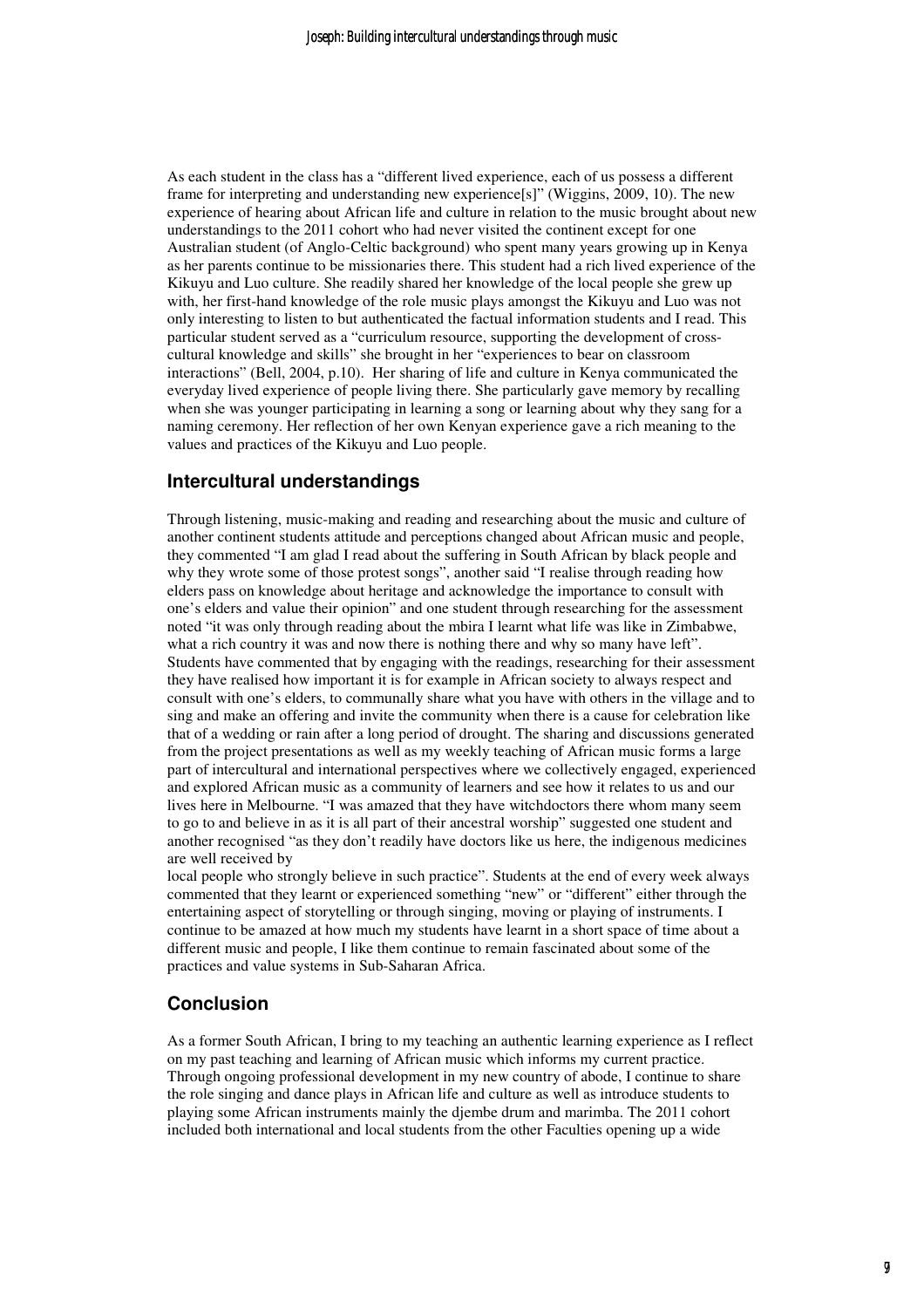As each student in the class has a "different lived experience, each of us possess a different frame for interpreting and understanding new experience[s]" (Wiggins, 2009, 10). The new experience of hearing about African life and culture in relation to the music brought about new understandings to the 2011 cohort who had never visited the continent except for one Australian student (of Anglo-Celtic background) who spent many years growing up in Kenya as her parents continue to be missionaries there. This student had a rich lived experience of the Kikuyu and Luo culture. She readily shared her knowledge of the local people she grew up with, her first-hand knowledge of the role music plays amongst the Kikuyu and Luo was not only interesting to listen to but authenticated the factual information students and I read. This particular student served as a "curriculum resource, supporting the development of crosscultural knowledge and skills" she brought in her "experiences to bear on classroom interactions" (Bell, 2004, p.10). Her sharing of life and culture in Kenya communicated the everyday lived experience of people living there. She particularly gave memory by recalling when she was younger participating in learning a song or learning about why they sang for a naming ceremony. Her reflection of her own Kenyan experience gave a rich meaning to the values and practices of the Kikuyu and Luo people.

#### **Intercultural understandings**

Through listening, music-making and reading and researching about the music and culture of another continent students attitude and perceptions changed about African music and people, they commented "I am glad I read about the suffering in South African by black people and why they wrote some of those protest songs", another said "I realise through reading how elders pass on knowledge about heritage and acknowledge the importance to consult with one's elders and value their opinion" and one student through researching for the assessment noted "it was only through reading about the mbira I learnt what life was like in Zimbabwe, what a rich country it was and now there is nothing there and why so many have left". Students have commented that by engaging with the readings, researching for their assessment they have realised how important it is for example in African society to always respect and consult with one's elders, to communally share what you have with others in the village and to sing and make an offering and invite the community when there is a cause for celebration like that of a wedding or rain after a long period of drought. The sharing and discussions generated from the project presentations as well as my weekly teaching of African music forms a large part of intercultural and international perspectives where we collectively engaged, experienced and explored African music as a community of learners and see how it relates to us and our lives here in Melbourne. "I was amazed that they have witchdoctors there whom many seem to go to and believe in as it is all part of their ancestral worship" suggested one student and another recognised "as they don't readily have doctors like us here, the indigenous medicines are well received by

local people who strongly believe in such practice". Students at the end of every week always commented that they learnt or experienced something "new" or "different" either through the entertaining aspect of storytelling or through singing, moving or playing of instruments. I continue to be amazed at how much my students have learnt in a short space of time about a different music and people, I like them continue to remain fascinated about some of the practices and value systems in Sub-Saharan Africa.

#### **Conclusion**

As a former South African, I bring to my teaching an authentic learning experience as I reflect on my past teaching and learning of African music which informs my current practice. Through ongoing professional development in my new country of abode, I continue to share the role singing and dance plays in African life and culture as well as introduce students to playing some African instruments mainly the djembe drum and marimba. The 2011 cohort included both international and local students from the other Faculties opening up a wide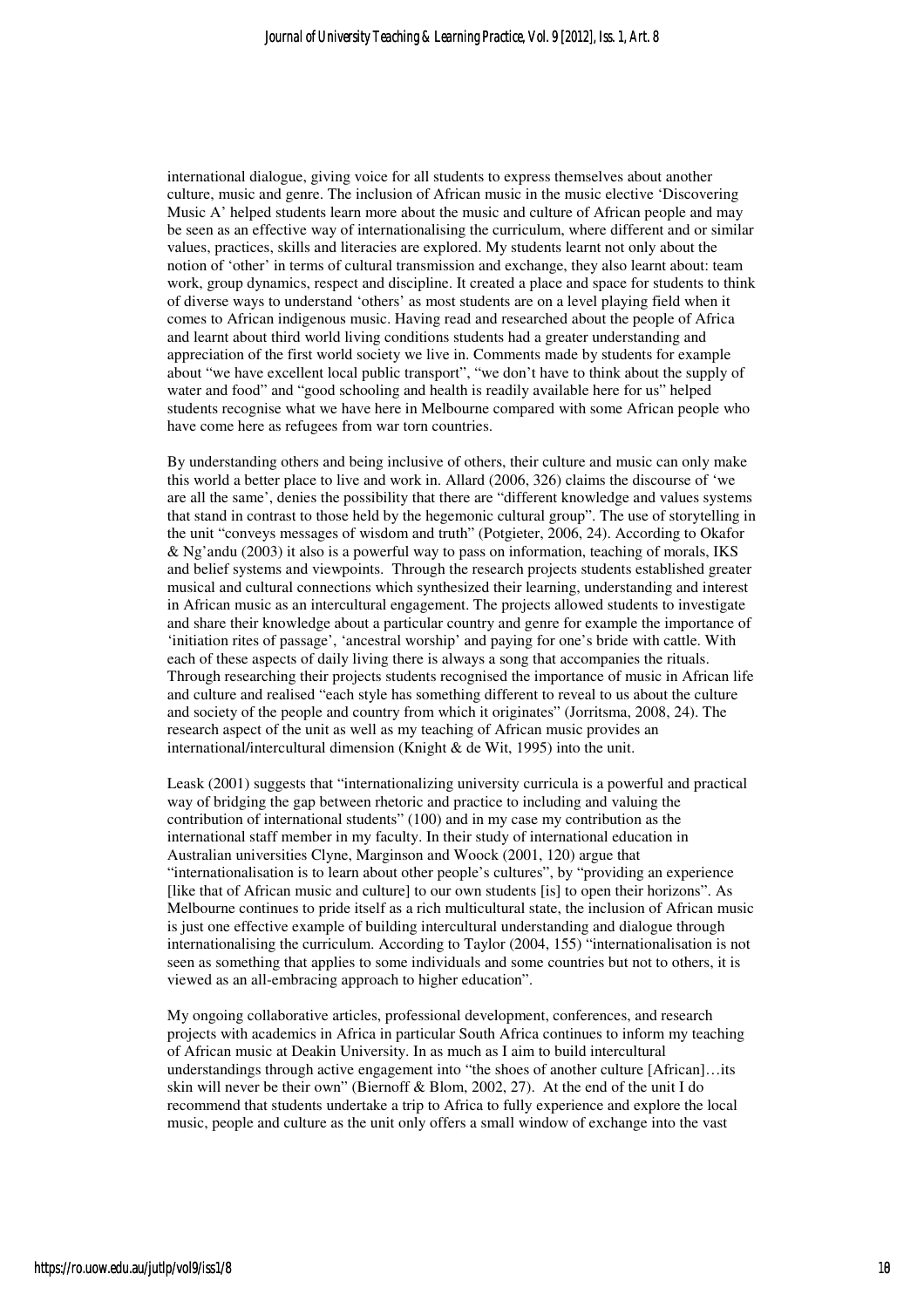international dialogue, giving voice for all students to express themselves about another culture, music and genre. The inclusion of African music in the music elective 'Discovering Music A' helped students learn more about the music and culture of African people and may be seen as an effective way of internationalising the curriculum, where different and or similar values, practices, skills and literacies are explored. My students learnt not only about the notion of 'other' in terms of cultural transmission and exchange, they also learnt about: team work, group dynamics, respect and discipline. It created a place and space for students to think of diverse ways to understand 'others' as most students are on a level playing field when it comes to African indigenous music. Having read and researched about the people of Africa and learnt about third world living conditions students had a greater understanding and appreciation of the first world society we live in. Comments made by students for example about "we have excellent local public transport", "we don't have to think about the supply of water and food" and "good schooling and health is readily available here for us" helped students recognise what we have here in Melbourne compared with some African people who have come here as refugees from war torn countries.

By understanding others and being inclusive of others, their culture and music can only make this world a better place to live and work in. Allard (2006, 326) claims the discourse of 'we are all the same', denies the possibility that there are "different knowledge and values systems that stand in contrast to those held by the hegemonic cultural group". The use of storytelling in the unit "conveys messages of wisdom and truth" (Potgieter, 2006, 24). According to Okafor & Ng'andu (2003) it also is a powerful way to pass on information, teaching of morals, IKS and belief systems and viewpoints. Through the research projects students established greater musical and cultural connections which synthesized their learning, understanding and interest in African music as an intercultural engagement. The projects allowed students to investigate and share their knowledge about a particular country and genre for example the importance of 'initiation rites of passage', 'ancestral worship' and paying for one's bride with cattle. With each of these aspects of daily living there is always a song that accompanies the rituals. Through researching their projects students recognised the importance of music in African life and culture and realised "each style has something different to reveal to us about the culture and society of the people and country from which it originates" (Jorritsma, 2008, 24). The research aspect of the unit as well as my teaching of African music provides an international/intercultural dimension (Knight & de Wit, 1995) into the unit.

Leask (2001) suggests that "internationalizing university curricula is a powerful and practical way of bridging the gap between rhetoric and practice to including and valuing the contribution of international students" (100) and in my case my contribution as the international staff member in my faculty. In their study of international education in Australian universities Clyne, Marginson and Woock (2001, 120) argue that "internationalisation is to learn about other people's cultures", by "providing an experience [like that of African music and culture] to our own students [is] to open their horizons". As Melbourne continues to pride itself as a rich multicultural state, the inclusion of African music is just one effective example of building intercultural understanding and dialogue through internationalising the curriculum. According to Taylor (2004, 155) "internationalisation is not seen as something that applies to some individuals and some countries but not to others, it is viewed as an all-embracing approach to higher education".

My ongoing collaborative articles, professional development, conferences, and research projects with academics in Africa in particular South Africa continues to inform my teaching of African music at Deakin University. In as much as I aim to build intercultural understandings through active engagement into "the shoes of another culture [African]…its skin will never be their own" (Biernoff & Blom, 2002, 27). At the end of the unit I do recommend that students undertake a trip to Africa to fully experience and explore the local music, people and culture as the unit only offers a small window of exchange into the vast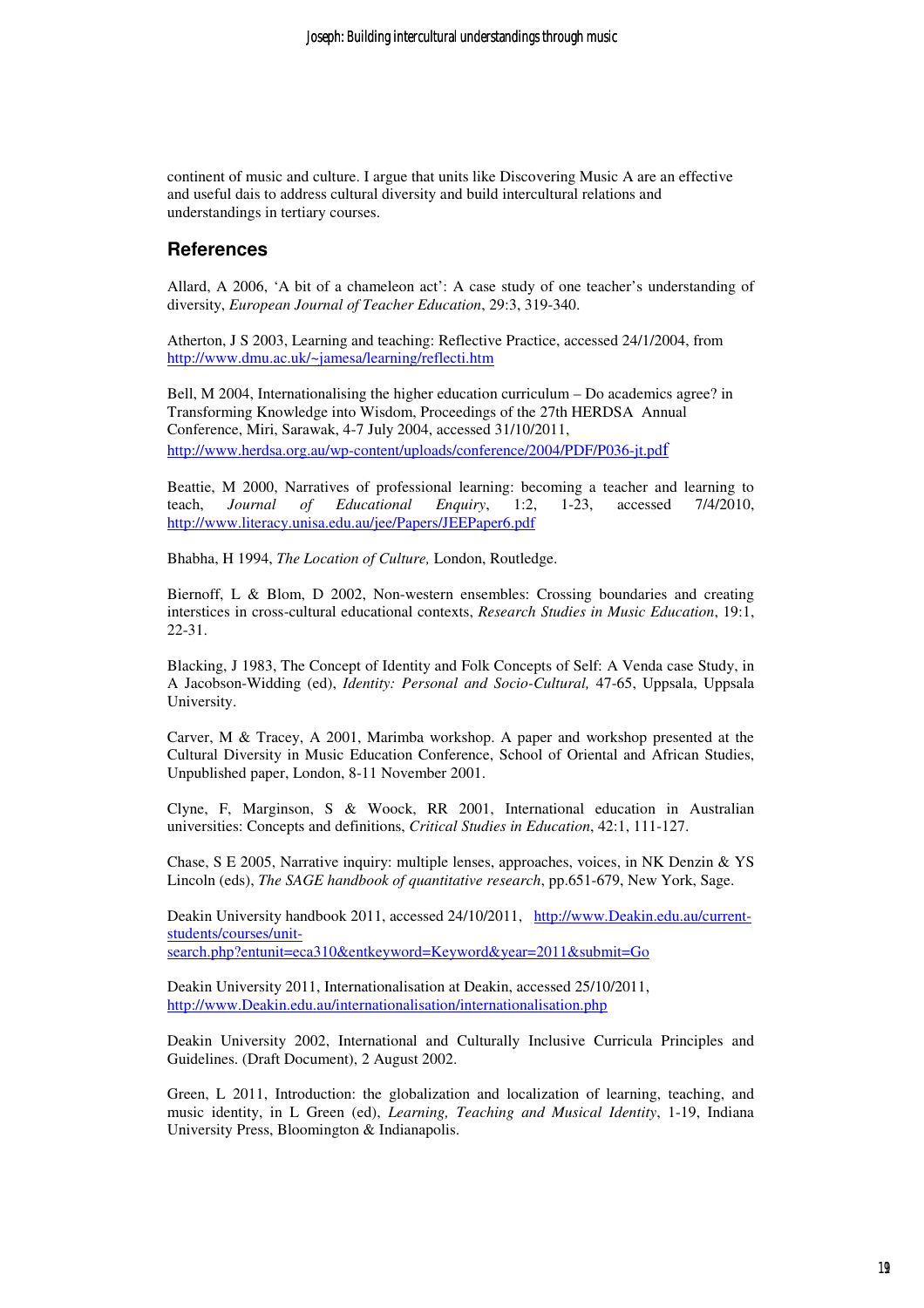continent of music and culture. I argue that units like Discovering Music A are an effective and useful dais to address cultural diversity and build intercultural relations and understandings in tertiary courses.

#### **References**

Allard, A 2006, 'A bit of a chameleon act': A case study of one teacher's understanding of diversity, *European Journal of Teacher Education*, 29:3, 319-340.

Atherton, J S 2003, Learning and teaching: Reflective Practice, accessed 24/1/2004, from http://www.dmu.ac.uk/~jamesa/learning/reflecti.htm

Bell, M 2004, Internationalising the higher education curriculum – Do academics agree? in Transforming Knowledge into Wisdom, Proceedings of the 27th HERDSA Annual Conference, Miri, Sarawak, 4-7 July 2004, accessed 31/10/2011, http://www.herdsa.org.au/wp-content/uploads/conference/2004/PDF/P036-jt.pdf

Beattie, M 2000, Narratives of professional learning: becoming a teacher and learning to teach, *Journal of Educational Enquiry*, 1:2, 1-23, accessed 7/4/2010, http://www.literacy.unisa.edu.au/jee/Papers/JEEPaper6.pdf

Bhabha, H 1994, *The Location of Culture,* London, Routledge.

Biernoff, L & Blom, D 2002, Non-western ensembles: Crossing boundaries and creating interstices in cross-cultural educational contexts, *Research Studies in Music Education*, 19:1, 22-31.

Blacking, J 1983, The Concept of Identity and Folk Concepts of Self: A Venda case Study, in A Jacobson-Widding (ed), *Identity: Personal and Socio-Cultural,* 47-65, Uppsala, Uppsala University.

Carver, M & Tracey, A 2001, Marimba workshop. A paper and workshop presented at the Cultural Diversity in Music Education Conference, School of Oriental and African Studies, Unpublished paper, London, 8-11 November 2001.

Clyne, F, Marginson, S & Woock, RR 2001, International education in Australian universities: Concepts and definitions, *Critical Studies in Education*, 42:1, 111-127.

Chase, S E 2005, Narrative inquiry: multiple lenses, approaches, voices, in NK Denzin & YS Lincoln (eds), *The SAGE handbook of quantitative research*, pp.651-679, New York, Sage.

Deakin University handbook 2011, accessed 24/10/2011, http://www.Deakin.edu.au/currentstudents/courses/unitsearch.php?entunit=eca310&entkeyword=Keyword&year=2011&submit=Go

Deakin University 2011, Internationalisation at Deakin, accessed 25/10/2011, http://www.Deakin.edu.au/internationalisation/internationalisation.php

Deakin University 2002, International and Culturally Inclusive Curricula Principles and Guidelines. (Draft Document), 2 August 2002.

Green, L 2011, Introduction: the globalization and localization of learning, teaching, and music identity, in L Green (ed), *Learning, Teaching and Musical Identity*, 1-19, Indiana University Press, Bloomington & Indianapolis.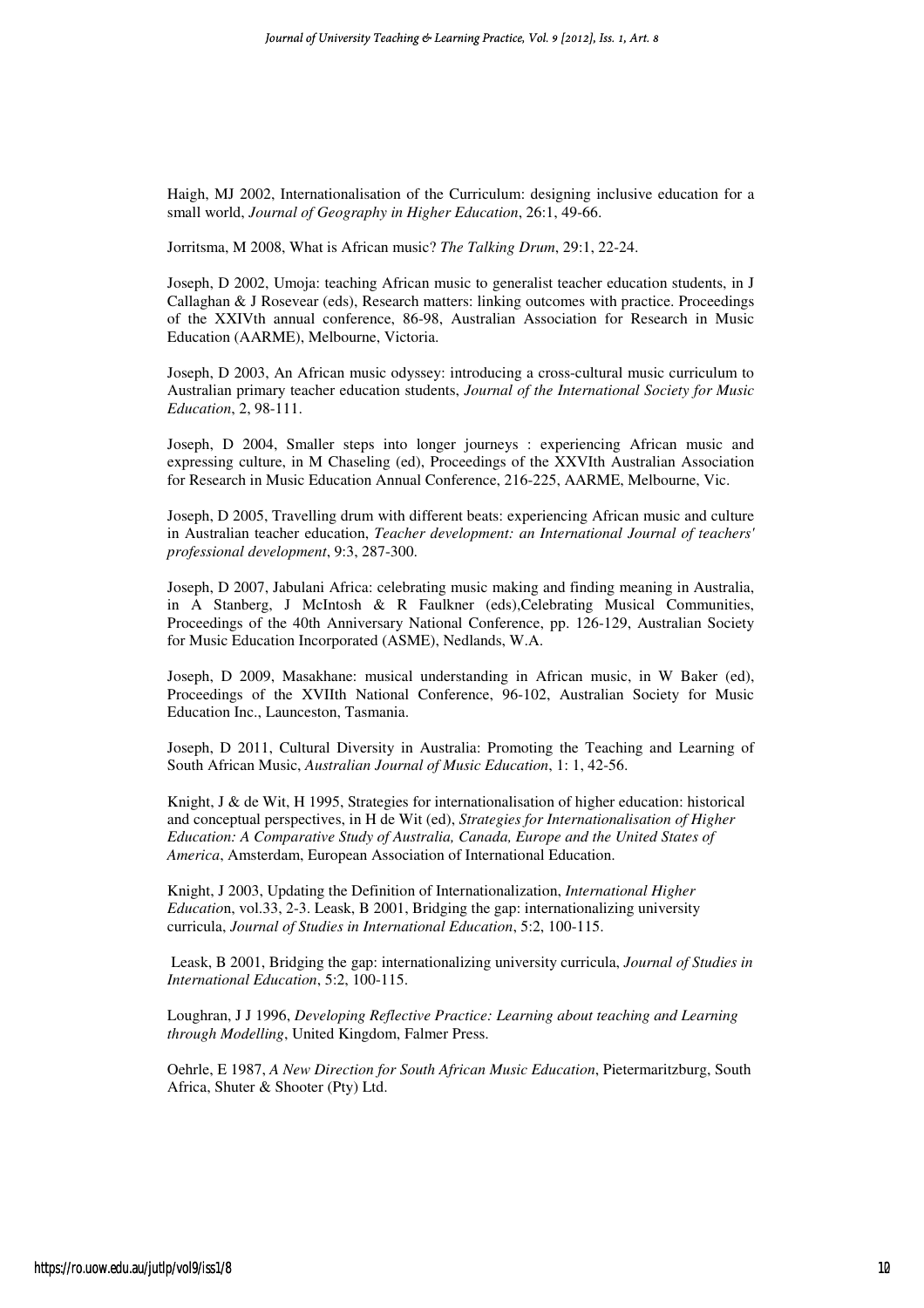Haigh, MJ 2002, Internationalisation of the Curriculum: designing inclusive education for a small world, *Journal of Geography in Higher Education*, 26:1, 49-66.

Jorritsma, M 2008, What is African music? *The Talking Drum*, 29:1, 22-24.

Joseph, D 2002, Umoja: teaching African music to generalist teacher education students, in J Callaghan & J Rosevear (eds), Research matters: linking outcomes with practice. Proceedings of the XXIVth annual conference, 86-98, Australian Association for Research in Music Education (AARME), Melbourne, Victoria.

Joseph, D 2003, An African music odyssey: introducing a cross-cultural music curriculum to Australian primary teacher education students, *Journal of the International Society for Music Education*, 2, 98-111.

Joseph, D 2004, Smaller steps into longer journeys : experiencing African music and expressing culture, in M Chaseling (ed), Proceedings of the XXVIth Australian Association for Research in Music Education Annual Conference, 216-225, AARME, Melbourne, Vic.

Joseph, D 2005, Travelling drum with different beats: experiencing African music and culture in Australian teacher education, *Teacher development: an International Journal of teachers' professional development*, 9:3, 287-300.

Joseph, D 2007, Jabulani Africa: celebrating music making and finding meaning in Australia, in A Stanberg, J McIntosh & R Faulkner (eds),Celebrating Musical Communities, Proceedings of the 40th Anniversary National Conference, pp. 126-129, Australian Society for Music Education Incorporated (ASME), Nedlands, W.A.

Joseph, D 2009, Masakhane: musical understanding in African music, in W Baker (ed), Proceedings of the XVIIth National Conference, 96-102, Australian Society for Music Education Inc., Launceston, Tasmania.

Joseph, D 2011, Cultural Diversity in Australia: Promoting the Teaching and Learning of South African Music, *Australian Journal of Music Education*, 1: 1, 42-56.

Knight, J & de Wit, H 1995, Strategies for internationalisation of higher education: historical and conceptual perspectives, in H de Wit (ed), *Strategies for Internationalisation of Higher Education: A Comparative Study of Australia, Canada, Europe and the United States of America*, Amsterdam, European Association of International Education.

Knight, J 2003, Updating the Definition of Internationalization, *International Higher Educatio*n, vol.33, 2-3. Leask, B 2001, Bridging the gap: internationalizing university curricula, *Journal of Studies in International Education*, 5:2, 100-115.

 Leask, B 2001, Bridging the gap: internationalizing university curricula, *Journal of Studies in International Education*, 5:2, 100-115.

Loughran, J J 1996, *Developing Reflective Practice: Learning about teaching and Learning through Modelling*, United Kingdom, Falmer Press.

Oehrle, E 1987, *A New Direction for South African Music Education*, Pietermaritzburg, South Africa, Shuter & Shooter (Pty) Ltd.